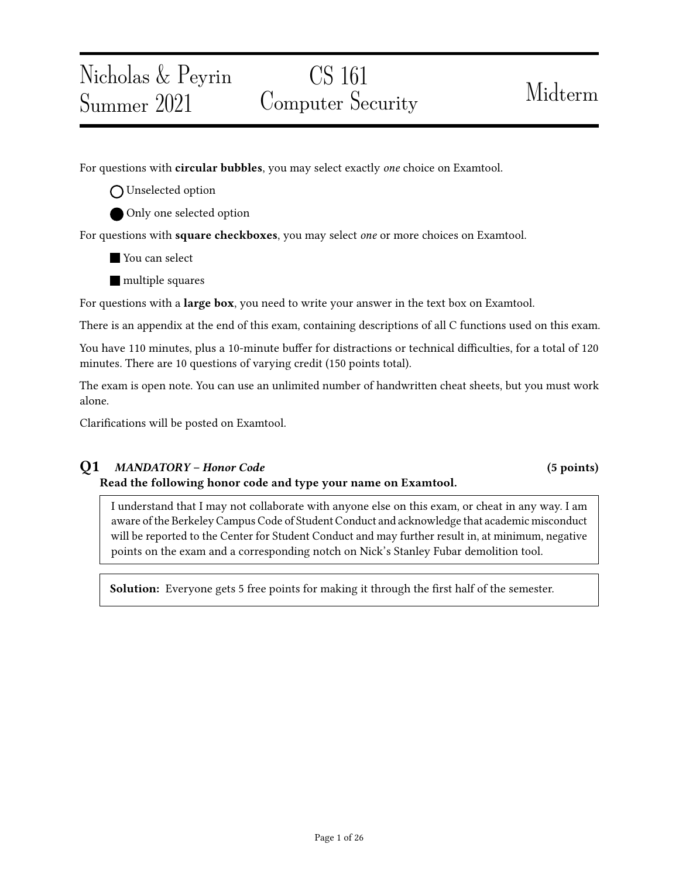For questions with circular bubbles, you may select exactly one choice on Examtool.

O Unselected option

Nicholas & Peyrin

Summer 2021

Only one selected option

For questions with **square checkboxes**, you may select one or more choices on Examtool.

You can select

**nultiple** squares

For questions with a **large box**, you need to write your answer in the text box on Examtool.

There is an appendix at the end of this exam, containing descriptions of all C functions used on this exam.

You have 110 minutes, plus a 10-minute buffer for distractions or technical difficulties, for a total of 120 minutes. There are 10 questions of varying credit (150 points total).

The exam is open note. You can use an unlimited number of handwritten cheat sheets, but you must work alone.

Clarifications will be posted on Examtool.

# Q1 MANDATORY – Honor Code (5 points)

# Read the following honor code and type your name on Examtool.

I understand that I may not collaborate with anyone else on this exam, or cheat in any way. I am aware of the Berkeley Campus Code of Student Conduct and acknowledge that academic misconduct will be reported to the Center for Student Conduct and may further result in, at minimum, negative points on the exam and a corresponding notch on Nick's Stanley Fubar demolition tool.

Solution: Everyone gets 5 free points for making it through the first half of the semester.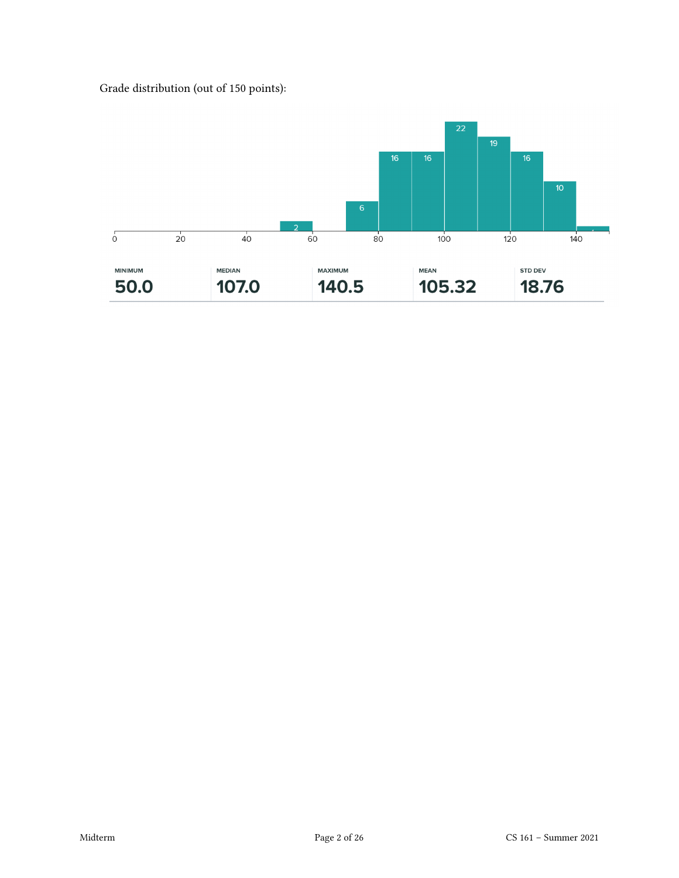Grade distribution (out of 150 points):

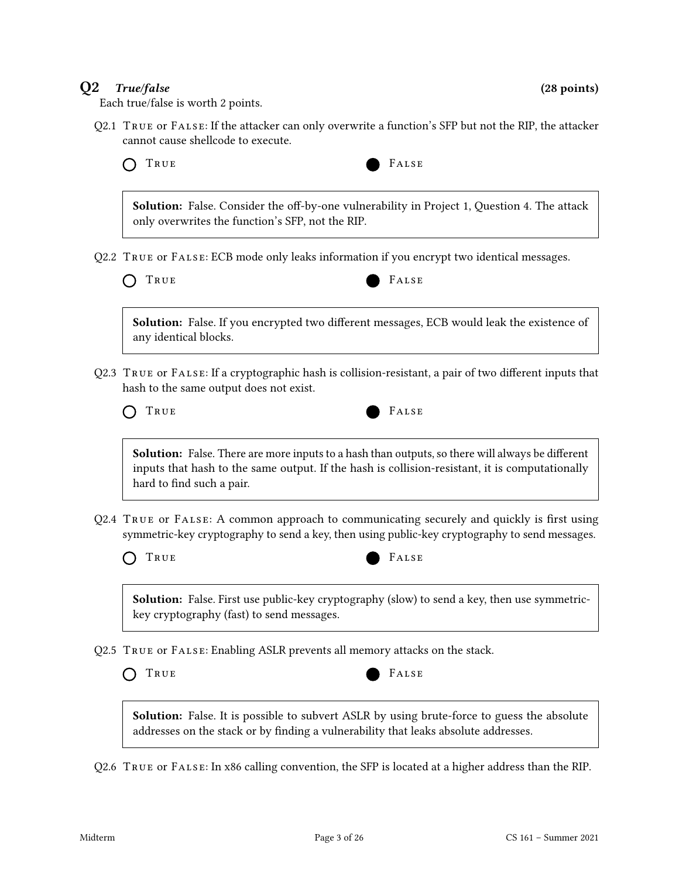## $Q2$  True/false (28 points)

Each true/false is worth 2 points.

- Q2.1 True or False: If the attacker can only overwrite a function's SFP but not the RIP, the attacker cannot cause shellcode to execute.
	-



Solution: False. Consider the off-by-one vulnerability in Project 1, Question 4. The attack only overwrites the function's SFP, not the RIP.

Q2.2 True or False: ECB mode only leaks information if you encrypt two identical messages.

| ĸ<br>۰. |
|---------|
|         |



Solution: False. If you encrypted two different messages, ECB would leak the existence of any identical blocks.

Q2.3 TRUE or  $FALSE$ : If a cryptographic hash is collision-resistant, a pair of two different inputs that hash to the same output does not exist.



**Solution:** False. There are more inputs to a hash than outputs, so there will always be different inputs that hash to the same output. If the hash is collision-resistant, it is computationally hard to find such a pair.

Q2.4 TRUE or FALSE: A common approach to communicating securely and quickly is first using symmetric-key cryptography to send a key, then using public-key cryptography to send messages.

TRUE **FALSE** 



**Solution:** False. First use public-key cryptography (slow) to send a key, then use symmetrickey cryptography (fast) to send messages.

Q2.5 True or False: Enabling ASLR prevents all memory attacks on the stack.



**Solution:** False. It is possible to subvert ASLR by using brute-force to guess the absolute addresses on the stack or by finding a vulnerability that leaks absolute addresses.

Q2.6 True or False: In x86 calling convention, the SFP is located at a higher address than the RIP.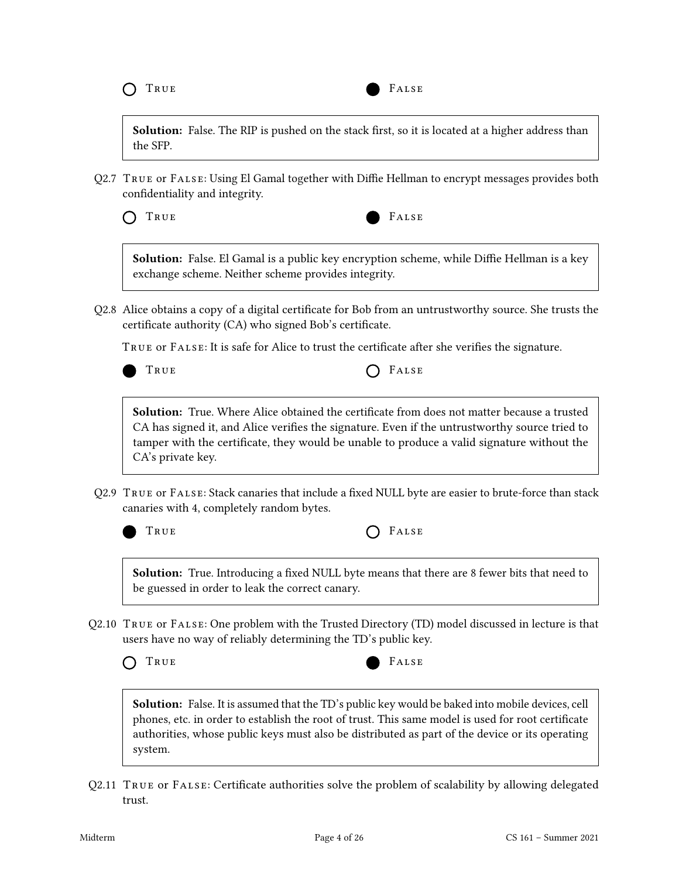

**Solution:** False. The RIP is pushed on the stack first, so it is located at a higher address than the SFP.

Q2.7 TRUE or FALSE: Using El Gamal together with Diffie Hellman to encrypt messages provides both confidentiality and integrity.

| True | FALSE |
|------|-------|
|------|-------|

Solution: False. El Gamal is a public key encryption scheme, while Diffie Hellman is a key exchange scheme. Neither scheme provides integrity.

Q2.8 Alice obtains a copy of a digital certificate for Bob from an untrustworthy source. She trusts the certificate authority  $(CA)$  who signed Bob's certificate.

TRUE OF FALSE: It is safe for Alice to trust the certificate after she verifies the signature.

TRUE **CONSTRUE** 

Solution: True. Where Alice obtained the certificate from does not matter because a trusted CA has signed it, and Alice verifies the signature. Even if the untrustworthy source tried to tamper with the certificate, they would be unable to produce a valid signature without the CA's private key.

Q2.9 TRUE or FALSE: Stack canaries that include a fixed NULL byte are easier to brute-force than stack canaries with 4, completely random bytes.

TRUE **CONSTRUE** 

Solution: True. Introducing a fixed NULL byte means that there are 8 fewer bits that need to be guessed in order to leak the correct canary.

Q2.10 True or False: One problem with the Trusted Directory (TD) model discussed in lecture is that users have no way of reliably determining the TD's public key.



Solution: False. It is assumed that the TD's public key would be baked into mobile devices, cell phones, etc. in order to establish the root of trust. This same model is used for root certificate authorities, whose public keys must also be distributed as part of the device or its operating system.

Q2.11 TRUE or FALSE: Certificate authorities solve the problem of scalability by allowing delegated trust.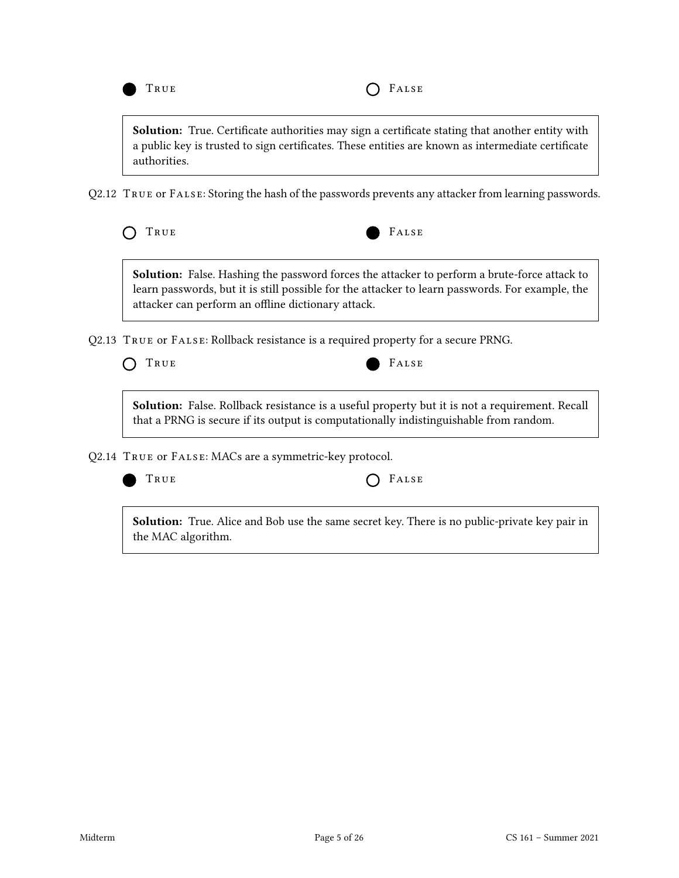

Solution: True. Certificate authorities may sign a certificate stating that another entity with a public key is trusted to sign certificates. These entities are known as intermediate certificate authorities.

Q2.12 True or False: Storing the hash of the passwords prevents any attacker from learning passwords.



Solution: False. Hashing the password forces the attacker to perform a brute-force attack to learn passwords, but it is still possible for the attacker to learn passwords. For example, the attacker can perform an offline dictionary attack.

Q2.13 True or False: Rollback resistance is a required property for a secure PRNG.



Solution: False. Rollback resistance is a useful property but it is not a requirement. Recall that a PRNG is secure if its output is computationally indistinguishable from random.

Q2.14 True or False: MACs are a symmetric-key protocol.



| True | $O$ FALSE |
|------|-----------|
|------|-----------|

Solution: True. Alice and Bob use the same secret key. There is no public-private key pair in the MAC algorithm.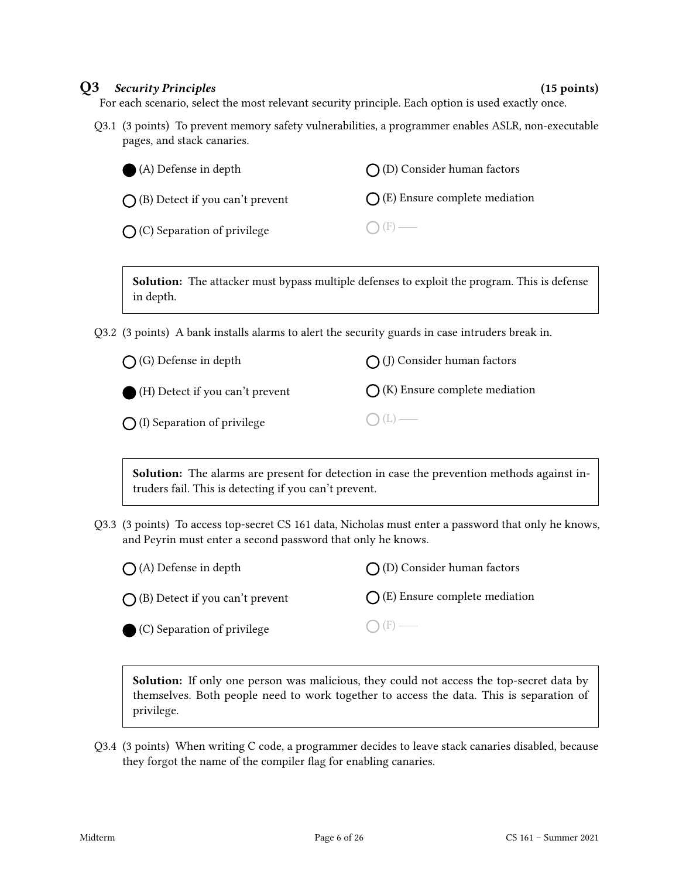#### Q3 Security Principles (15 points)

For each scenario, select the most relevant security principle. Each option is used exactly once.

Q3.1 (3 points) To prevent memory safety vulnerabilities, a programmer enables ASLR, non-executable pages, and stack canaries.

| (A) Defense in depth                      | $\bigcap$ (D) Consider human factors    |
|-------------------------------------------|-----------------------------------------|
| $\bigcap$ (B) Detect if you can't prevent | $\bigcap$ (E) Ensure complete mediation |
| $\bigcap$ (C) Separation of privilege     | $\bigcap$ (F) —                         |

Solution: The attacker must bypass multiple defenses to exploit the program. This is defense in depth.

Q3.2 (3 points) A bank installs alarms to alert the security guards in case intruders break in.

| $\bigcap$ (G) Defense in depth        | $\bigcap$ (J) Consider human factors    |
|---------------------------------------|-----------------------------------------|
| (H) Detect if you can't prevent       | $\bigcap$ (K) Ensure complete mediation |
| $\bigcap$ (I) Separation of privilege | $O(L)$ —                                |

Solution: The alarms are present for detection in case the prevention methods against intruders fail. This is detecting if you can't prevent.

Q3.3 (3 points) To access top-secret CS 161 data, Nicholas must enter a password that only he knows, and Peyrin must enter a second password that only he knows.

| $\bigcap$ (A) Defense in depth            | $\bigcap$ (D) Consider human factors    |
|-------------------------------------------|-----------------------------------------|
| $\bigcap$ (B) Detect if you can't prevent | $\bigcap$ (E) Ensure complete mediation |
| (C) Separation of privilege               | $\bigcap$ (F) —                         |

Solution: If only one person was malicious, they could not access the top-secret data by themselves. Both people need to work together to access the data. This is separation of privilege.

Q3.4 (3 points) When writing C code, a programmer decides to leave stack canaries disabled, because they forgot the name of the compiler flag for enabling canaries.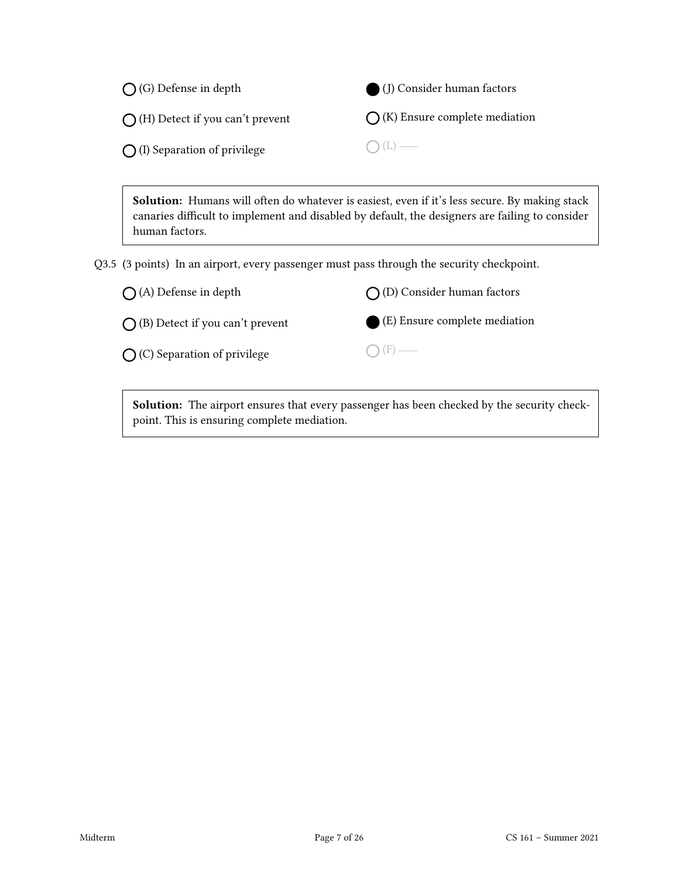| $\bigcap$ (G) Defense in depth            | $\bigcirc$ (J) Consider human factors   |
|-------------------------------------------|-----------------------------------------|
| $\bigcap$ (H) Detect if you can't prevent | $\bigcap$ (K) Ensure complete mediation |
| $\bigcap$ (I) Separation of privilege     | $O(L)$ —                                |

Solution: Humans will often do whatever is easiest, even if it's less secure. By making stack canaries difficult to implement and disabled by default, the designers are failing to consider human factors.

Q3.5 (3 points) In an airport, every passenger must pass through the security checkpoint.



Solution: The airport ensures that every passenger has been checked by the security checkpoint. This is ensuring complete mediation.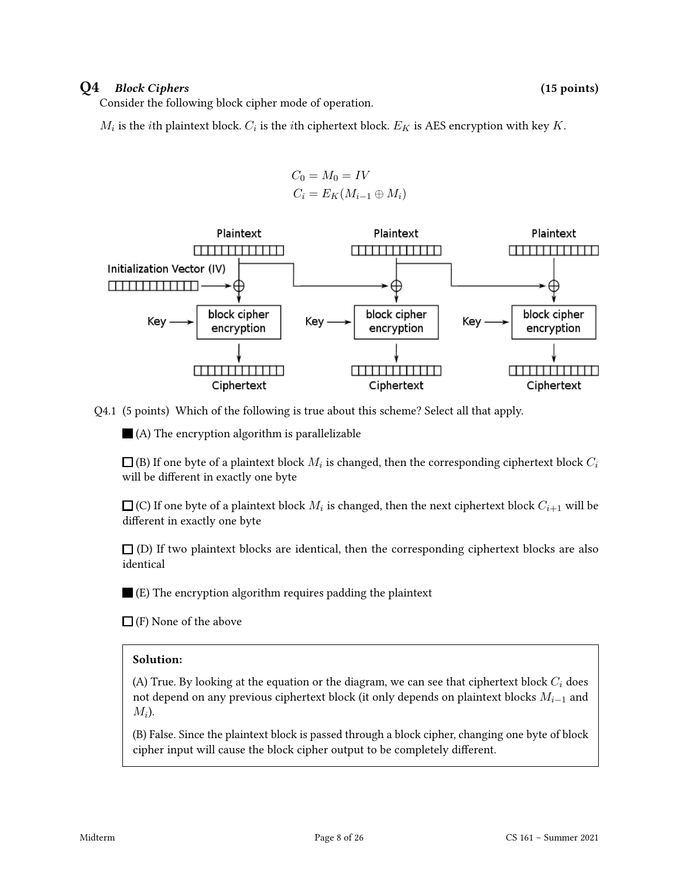### Q4 Block Ciphers (15 points)

Consider the following block cipher mode of operation.

 $M_i$  is the  $i$ th plaintext block.  $C_i$  is the  $i$ th ciphertext block.  $E_K$  is AES encryption with key  $K.$ 

$$
C_0 = M_0 = IV
$$
  

$$
C_i = E_K(M_{i-1} \oplus M_i)
$$



Q4.1 (5 points) Which of the following is true about this scheme? Select all that apply.

 $\blacksquare$  (A) The encryption algorithm is parallelizable

(B) If one byte of a plaintext block  $M_i$  is changed, then the corresponding ciphertext block  $C_i$ will be different in exactly one byte

(C) If one byte of a plaintext block  $M_i$  is changed, then the next ciphertext block  $C_{i+1}$  will be different in exactly one byte

 $\Box$  (D) If two plaintext blocks are identical, then the corresponding ciphertext blocks are also identical

 $\Box$  (E) The encryption algorithm requires padding the plaintext

 $\Box$  (F) None of the above

#### Solution:

(A) True. By looking at the equation or the diagram, we can see that ciphertext block  $C_i$  does not depend on any previous ciphertext block (it only depends on plaintext blocks  $M_{i-1}$  and  $M_i$ ).

(B) False. Since the plaintext block is passed through a block cipher, changing one byte of block cipher input will cause the block cipher output to be completely different.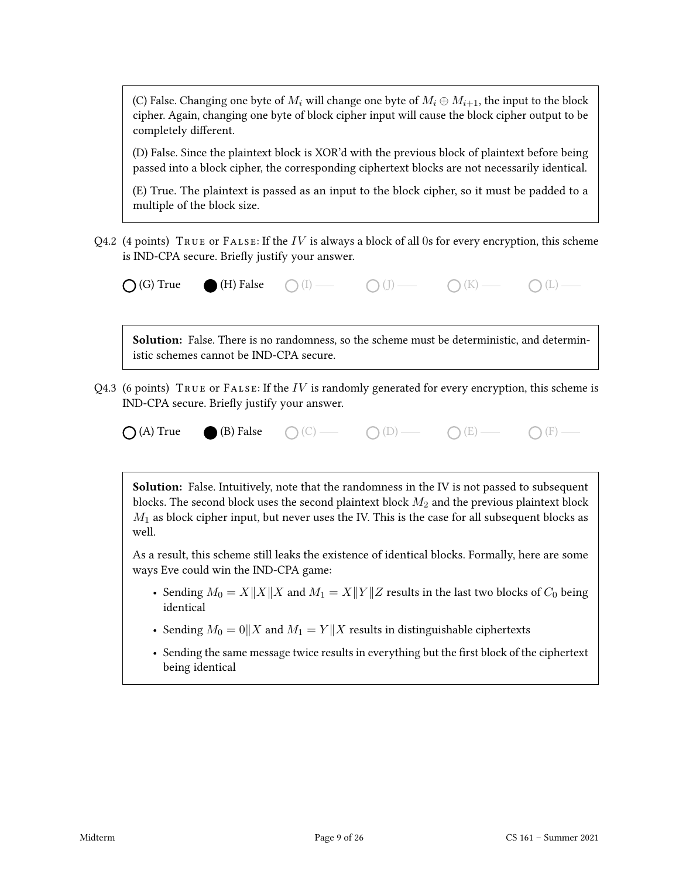(C) False. Changing one byte of  $M_i$  will change one byte of  $M_i \oplus M_{i+1}$ , the input to the block cipher. Again, changing one byte of block cipher input will cause the block cipher output to be completely different.

(D) False. Since the plaintext block is XOR'd with the previous block of plaintext before being passed into a block cipher, the corresponding ciphertext blocks are not necessarily identical.

(E) True. The plaintext is passed as an input to the block cipher, so it must be padded to a multiple of the block size.

Q4.2 (4 points) TRUE or FALSE: If the IV is always a block of all 0s for every encryption, this scheme is IND-CPA secure. Briefly justify your answer.

 $\bigcap$  (G) True  $\bigcirc$  (H) False  $\bigcirc$  (I)  $\longrightarrow$   $\bigcirc$  (J)  $\longrightarrow$   $\bigcirc$  (K)  $\longrightarrow$   $\bigcirc$  (L)  $\longrightarrow$ 

Solution: False. There is no randomness, so the scheme must be deterministic, and deterministic schemes cannot be IND-CPA secure.

Q4.3 (6 points) TRUE or FALSE: If the IV is randomly generated for every encryption, this scheme is IND-CPA secure. Briefly justify your answer.

| False |  |  |
|-------|--|--|
|       |  |  |

```
\bigcap (A) True (B) False \bigcap (C) \longrightarrow \bigcap (D) \longrightarrow \bigcap (E) \longrightarrow \bigcap (F) \longrightarrow
```
Solution: False. Intuitively, note that the randomness in the IV is not passed to subsequent blocks. The second block uses the second plaintext block  $M_2$  and the previous plaintext block  $M_1$  as block cipher input, but never uses the IV. This is the case for all subsequent blocks as well.

As a result, this scheme still leaks the existence of identical blocks. Formally, here are some ways Eve could win the IND-CPA game:

- Sending  $M_0 = X||X||X$  and  $M_1 = X||Y||Z$  results in the last two blocks of  $C_0$  being identical
- Sending  $M_0 = 0||X$  and  $M_1 = Y||X$  results in distinguishable ciphertexts
- Sending the same message twice results in everything but the first block of the ciphertext being identical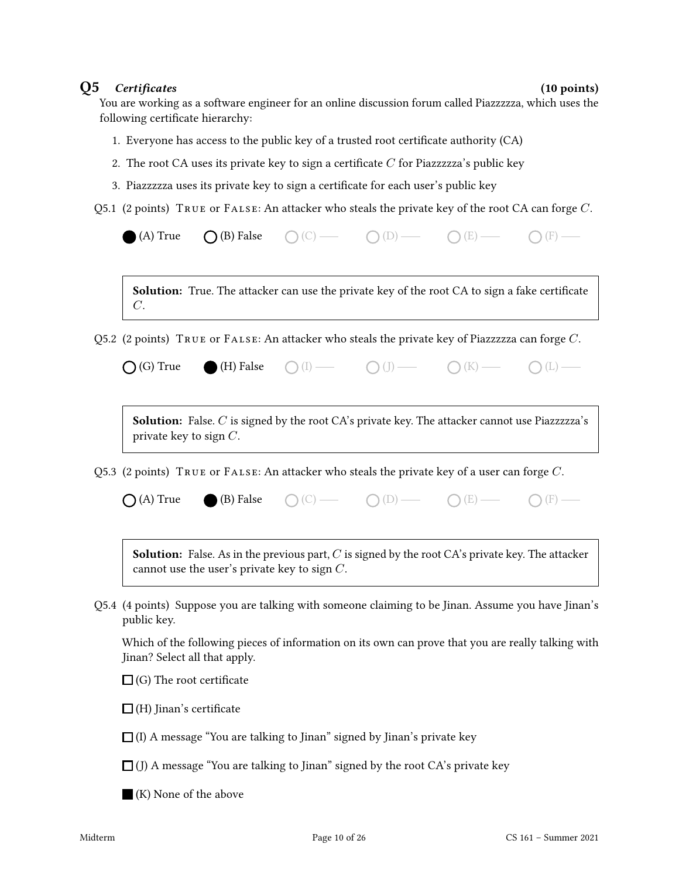### $Q5$  Certificates (10 points)

You are working as a software engineer for an online discussion forum called Piazzzzza, which uses the following certificate hierarchy:

- 1. Everyone has access to the public key of a trusted root certificate authority (CA)
- 2. The root CA uses its private key to sign a certificate  $C$  for Piazzzzza's public key
- 3. Piazzzzza uses its private key to sign a certificate for each user's public key
- Q5.1 (2 points) <code>True</code> or <code>False:</code> An attacker who steals the private key of the root CA can forge  $C$ .

| Q5.1 (2 points) TRUE or FALSE: An attacker who steals the private key of the root CA can forge $C$ .                                                                         |
|------------------------------------------------------------------------------------------------------------------------------------------------------------------------------|
| (A) True $\bigcirc$ (B) False $\bigcirc$ (C) $\longrightarrow$ $\bigcirc$ (D) $\longrightarrow$ $\bigcirc$ (E) $\longrightarrow$ $\bigcirc$ (F) $\longrightarrow$            |
| Solution: True. The attacker can use the private key of the root CA to sign a fake certificate<br>$C$ .                                                                      |
| Q5.2 (2 points) $\overline{T}$ RUE or $\overline{T}$ ALSE: An attacker who steals the private key of Piazzzzza can forge $C$ .                                               |
| $\bigcirc$ (G) True $\bigcirc$ (H) False $\bigcirc$ (I) $\longrightarrow$ $\bigcirc$ (J) $\longrightarrow$ $\bigcirc$ (K) $\longrightarrow$ $\bigcirc$ (L) $\longrightarrow$ |
| <b>Solution:</b> False. C is signed by the root CA's private key. The attacker cannot use Piazzzzza's<br>private key to sign $C$ .                                           |
| Q5.3 (2 points) $T_{\text{RUE}}$ or $F_{\text{ALSE}}$ : An attacker who steals the private key of a user can forge C.                                                        |
| $\bigcap (A)$ True $\bigcap (B)$ False $\bigcap (C)$ $\longrightarrow$ $\bigcap (D)$ $\longrightarrow$ $\bigcap (E)$ $\longrightarrow$                                       |
| <b>Solution:</b> False. As in the previous part, $C$ is signed by the root CA's private key. The attacker<br>cannot use the user's private key to sign $C$ .                 |
| Q5.4 (4 points) Suppose you are talking with someone claiming to be Jinan. Assume you have Jinan's<br>public key.                                                            |
| Which of the following pieces of information on its own can prove that you are really talking with<br>Jinan? Select all that apply.                                          |
| $\Box$ (G) The root certificate                                                                                                                                              |

- $\Box$ (H) Jinan's certificate
- $\Box$  (I) A message "You are talking to Jinan" signed by Jinan's private key
- $\Box$  (J) A message "You are talking to Jinan" signed by the root CA's private key
- (K) None of the above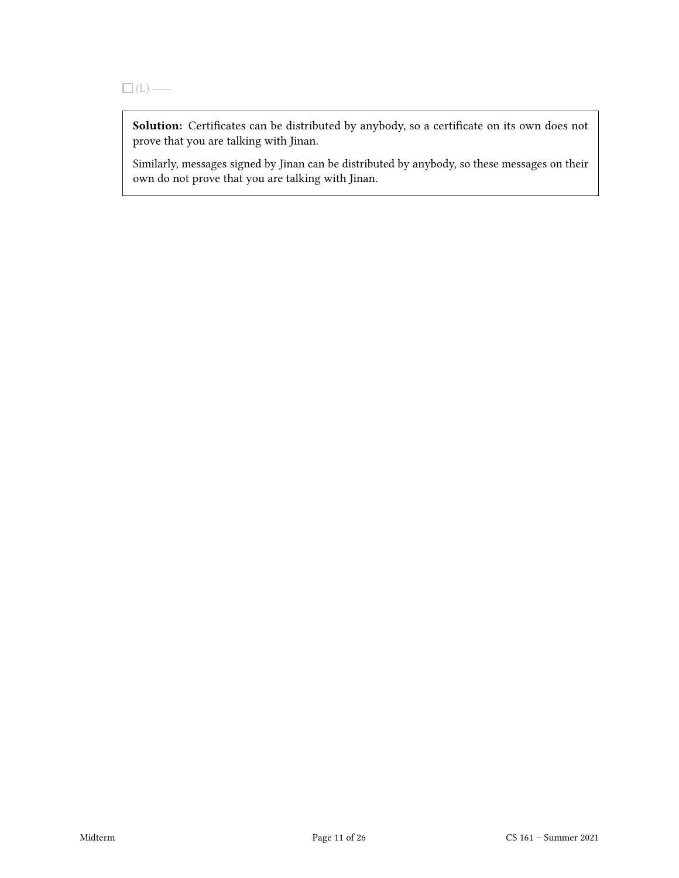Solution: Certificates can be distributed by anybody, so a certificate on its own does not prove that you are talking with Jinan.

Similarly, messages signed by Jinan can be distributed by anybody, so these messages on their own do not prove that you are talking with Jinan.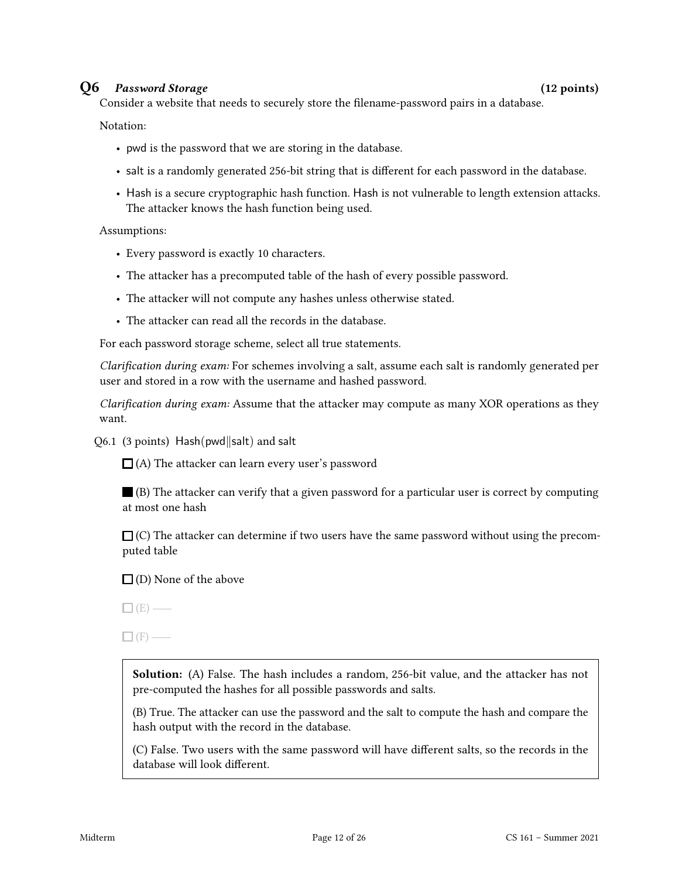#### Q6 Password Storage (12 points)

Consider a website that needs to securely store the filename-password pairs in a database.

Notation:

- pwd is the password that we are storing in the database.
- salt is a randomly generated 256-bit string that is different for each password in the database.
- Hash is a secure cryptographic hash function. Hash is not vulnerable to length extension attacks. The attacker knows the hash function being used.

#### Assumptions:

- Every password is exactly 10 characters.
- The attacker has a precomputed table of the hash of every possible password.
- The attacker will not compute any hashes unless otherwise stated.
- The attacker can read all the records in the database.

For each password storage scheme, select all true statements.

Clarification during exam: For schemes involving a salt, assume each salt is randomly generated per user and stored in a row with the username and hashed password.

Clarification during exam: Assume that the attacker may compute as many XOR operations as they want.

#### Q6.1 (3 points) Hash(pwd||salt) and salt

 $\Box$  (A) The attacker can learn every user's password

(B) The attacker can verify that a given password for a particular user is correct by computing at most one hash

 $\Box$  (C) The attacker can determine if two users have the same password without using the precomputed table

 $\Box$  (D) None of the above

 $\Box$  (E) —

 $\Box$  (F) —

Solution: (A) False. The hash includes a random, 256-bit value, and the attacker has not pre-computed the hashes for all possible passwords and salts.

(B) True. The attacker can use the password and the salt to compute the hash and compare the hash output with the record in the database.

(C) False. Two users with the same password will have different salts, so the records in the database will look different.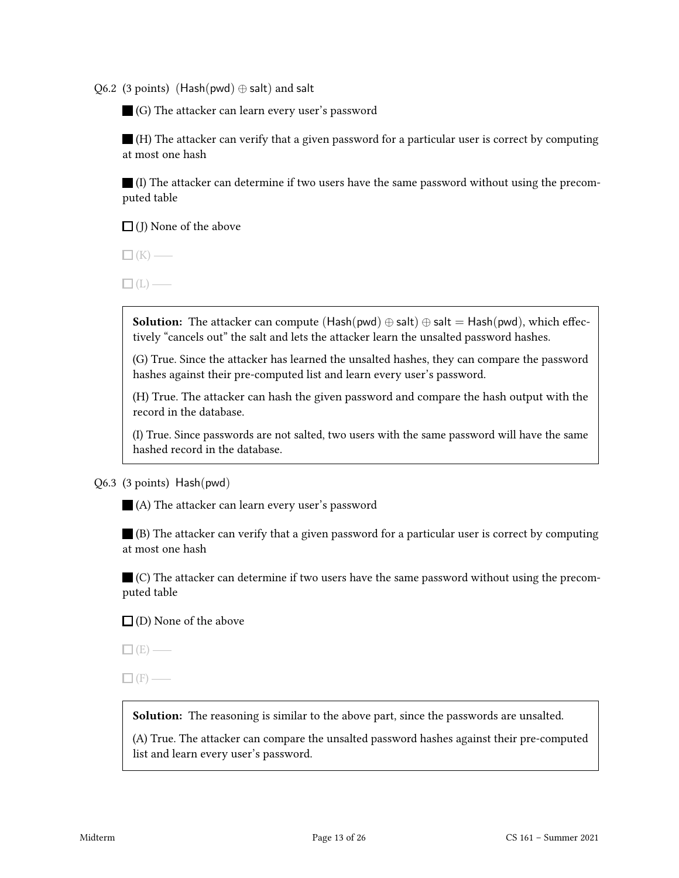Q6.2 (3 points) (Hash(pwd)  $\oplus$  salt) and salt

(G) The attacker can learn every user's password

 $\blacksquare$  (H) The attacker can verify that a given password for a particular user is correct by computing at most one hash

(I) The attacker can determine if two users have the same password without using the precomputed table

 $\Box$  (J) None of the above

 $\Box$  (K) —

 $\Box$ (L) —

**Solution:** The attacker can compute (Hash(pwd)  $\oplus$  salt)  $\oplus$  salt = Hash(pwd), which effectively "cancels out" the salt and lets the attacker learn the unsalted password hashes.

(G) True. Since the attacker has learned the unsalted hashes, they can compare the password hashes against their pre-computed list and learn every user's password.

(H) True. The attacker can hash the given password and compare the hash output with the record in the database.

(I) True. Since passwords are not salted, two users with the same password will have the same hashed record in the database.

Q6.3 (3 points) Hash(pwd)

(A) The attacker can learn every user's password

(B) The attacker can verify that a given password for a particular user is correct by computing at most one hash

 $\blacksquare$  (C) The attacker can determine if two users have the same password without using the precomputed table

 $\square$  (D) None of the above

 $\Box$  (E) —

 $\Box$ (F) —

Solution: The reasoning is similar to the above part, since the passwords are unsalted.

(A) True. The attacker can compare the unsalted password hashes against their pre-computed list and learn every user's password.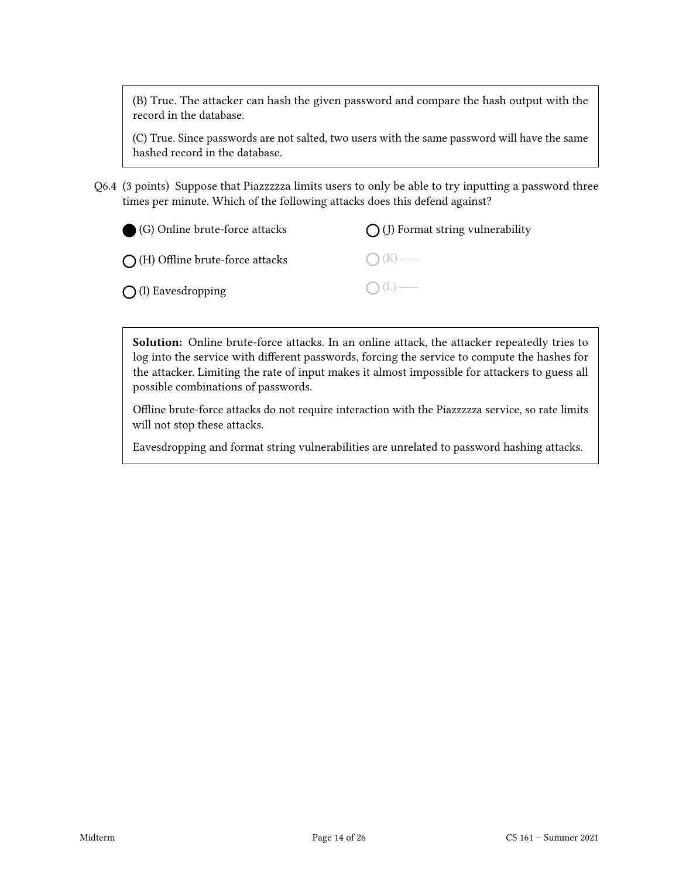(B) True. The attacker can hash the given password and compare the hash output with the record in the database.

(C) True. Since passwords are not salted, two users with the same password will have the same hashed record in the database.

Q6.4 (3 points) Suppose that Piazzzzza limits users to only be able to try inputting a password three times per minute. Which of the following attacks does this defend against?

| (G) Online brute-force attacks            | $\bigcap$ (J) Format string vulnerability |
|-------------------------------------------|-------------------------------------------|
| $\bigcap$ (H) Offline brute-force attacks | $\bigcap (K)$ —                           |
| $\bigcap$ (I) Eavesdropping               | $O(L)$ —                                  |

Solution: Online brute-force attacks. In an online attack, the attacker repeatedly tries to log into the service with different passwords, forcing the service to compute the hashes for the attacker. Limiting the rate of input makes it almost impossible for attackers to guess all possible combinations of passwords.

Offline brute-force attacks do not require interaction with the Piazzzzza service, so rate limits will not stop these attacks.

Eavesdropping and format string vulnerabilities are unrelated to password hashing attacks.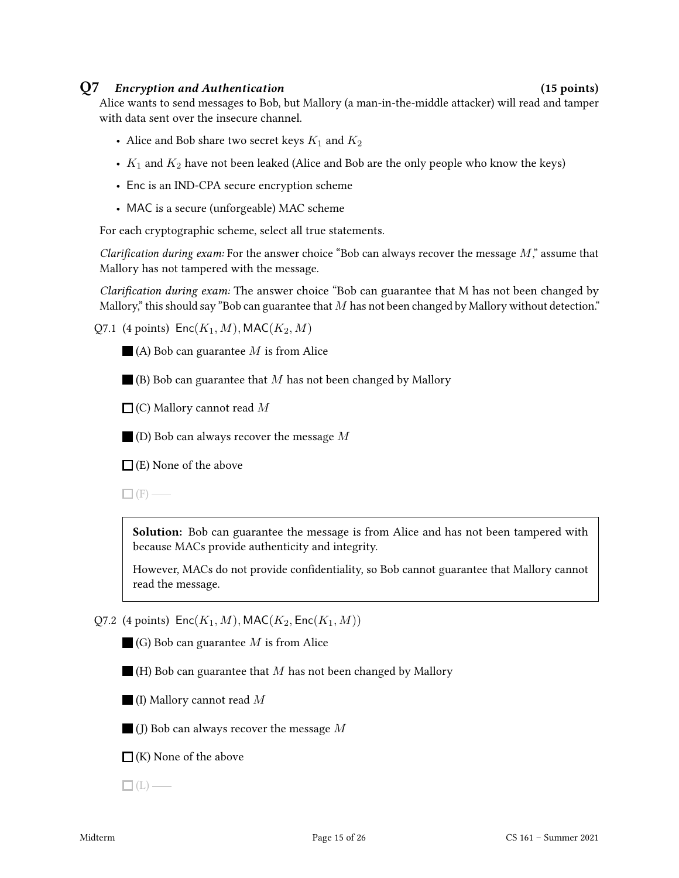#### Q7 Encryption and Authentication (15 points)

Alice wants to send messages to Bob, but Mallory (a man-in-the-middle attacker) will read and tamper with data sent over the insecure channel.

- Alice and Bob share two secret keys  $K_1$  and  $K_2$
- $K_1$  and  $K_2$  have not been leaked (Alice and Bob are the only people who know the keys)
- Enc is an IND-CPA secure encryption scheme
- MAC is a secure (unforgeable) MAC scheme

For each cryptographic scheme, select all true statements.

Clarification during exam: For the answer choice "Bob can always recover the message  $M$ ," assume that Mallory has not tampered with the message.

Clarification during exam: The answer choice "Bob can guarantee that M has not been changed by Mallory," this should say "Bob can guarantee that  $M$  has not been changed by Mallory without detection."

Q7.1 (4 points)  $Enc(K_1, M)$ , MAC $(K_2, M)$ 

 $\blacksquare$  (A) Bob can guarantee M is from Alice

 $\blacksquare$  (B) Bob can guarantee that M has not been changed by Mallory

 $\Box$  (C) Mallory cannot read M

 $\Box$  (D) Bob can always recover the message M

 $\Box$  (E) None of the above

 $\Box$  (F) —

Solution: Bob can guarantee the message is from Alice and has not been tampered with because MACs provide authenticity and integrity.

However, MACs do not provide condentiality, so Bob cannot guarantee that Mallory cannot read the message.

Q7.2 (4 points)  $Enc(K_1, M)$ , MAC( $K_2$ , Enc( $K_1, M$ ))

 $\Box$  (G) Bob can guarantee M is from Alice

 $\blacksquare$  (H) Bob can guarantee that M has not been changed by Mallory

 $\blacksquare$  (I) Mallory cannot read M

 $\Box$  (J) Bob can always recover the message M

 $\Box$  (K) None of the above

 $\Box$ (L) —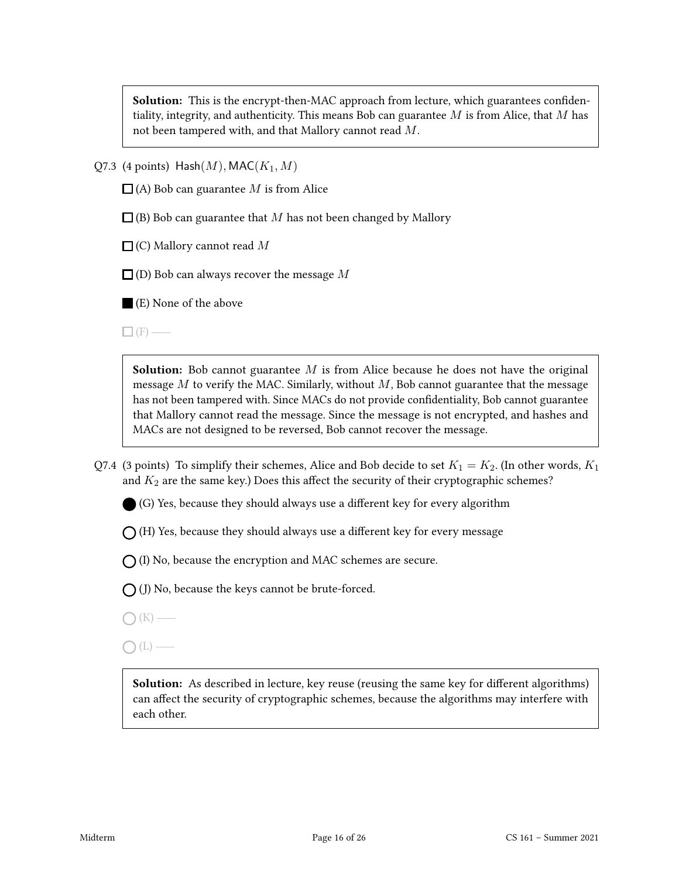Solution: This is the encrypt-then-MAC approach from lecture, which guarantees confidentiality, integrity, and authenticity. This means Bob can guarantee  $M$  is from Alice, that  $M$  has not been tampered with, and that Mallory cannot read M.

Q7.3 (4 points) Hash $(M)$ , MAC $(K_1, M)$ 

 $\Box$  (A) Bob can guarantee M is from Alice

 $\Box$  (B) Bob can guarantee that M has not been changed by Mallory

 $\Box$  (C) Mallory cannot read M

 $\square$  (D) Bob can always recover the message M

(E) None of the above

 $\Box$  (F) —

**Solution:** Bob cannot guarantee  $M$  is from Alice because he does not have the original message  $M$  to verify the MAC. Similarly, without  $M$ , Bob cannot guarantee that the message has not been tampered with. Since MACs do not provide condentiality, Bob cannot guarantee that Mallory cannot read the message. Since the message is not encrypted, and hashes and MACs are not designed to be reversed, Bob cannot recover the message.

Q7.4 (3 points) To simplify their schemes, Alice and Bob decide to set  $K_1 = K_2$ . (In other words,  $K_1$ and  $K_2$  are the same key.) Does this affect the security of their cryptographic schemes?

 $(G)$  Yes, because they should always use a different key for every algorithm

 $\bigcap$  (H) Yes, because they should always use a different key for every message

 $\bigcap$  (I) No, because the encryption and MAC schemes are secure.

 $\bigcap$  (J) No, because the keys cannot be brute-forced.

 $\bigcap$  (K) —

 $\bigcap(L)$  —

Solution: As described in lecture, key reuse (reusing the same key for different algorithms) can affect the security of cryptographic schemes, because the algorithms may interfere with each other.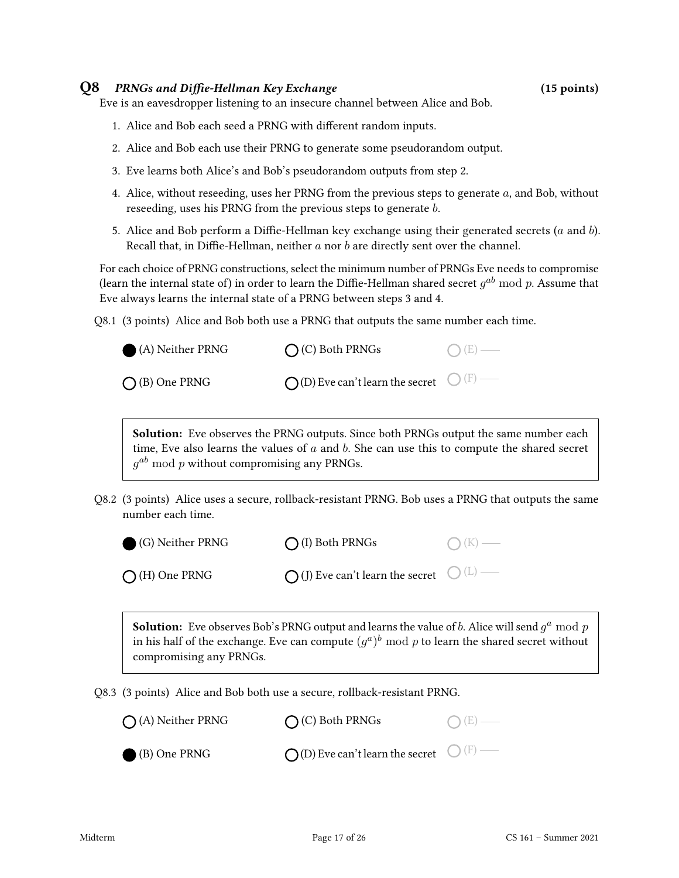#### $Q8$  PRNGs and Diffie-Hellman Key Exchange  $(15 \text{ points})$

Eve is an eavesdropper listening to an insecure channel between Alice and Bob.

- 1. Alice and Bob each seed a PRNG with different random inputs.
- 2. Alice and Bob each use their PRNG to generate some pseudorandom output.
- 3. Eve learns both Alice's and Bob's pseudorandom outputs from step 2.
- 4. Alice, without reseeding, uses her PRNG from the previous steps to generate a, and Bob, without reseeding, uses his PRNG from the previous steps to generate b.
- 5. Alice and Bob perform a Diffie-Hellman key exchange using their generated secrets ( $a$  and  $b$ ). Recall that, in Diffie-Hellman, neither  $a$  nor  $b$  are directly sent over the channel.

For each choice of PRNG constructions, select the minimum number of PRNGs Eve needs to compromise (learn the internal state of) in order to learn the Diffie-Hellman shared secret  $g^{ab}\bmod p$ . Assume that Eve always learns the internal state of a PRNG between steps 3 and 4.

Q8.1 (3 points) Alice and Bob both use a PRNG that outputs the same number each time.

| (A) Neither PRNG       | $\bigcap$ (C) Both PRNGs                                  | $O(E)$ — |
|------------------------|-----------------------------------------------------------|----------|
| $\bigcap$ (B) One PRNG | $\bigcap$ (D) Eve can't learn the secret $\bigcirc$ (F) — |          |

Solution: Eve observes the PRNG outputs. Since both PRNGs output the same number each time, Eve also learns the values of  $a$  and  $b$ . She can use this to compute the shared secret  $g^{ab} \bmod p$  without compromising any PRNGs.

Q8.2 (3 points) Alice uses a secure, rollback-resistant PRNG. Bob uses a PRNG that outputs the same number each time.

| G) Neither PRNG        | $\bigcap$ (I) Both PRNGs                                  | $\bigcap (K)$ — |
|------------------------|-----------------------------------------------------------|-----------------|
| $\bigcap$ (H) One PRNG | $\bigcap$ (J) Eve can't learn the secret $\bigcirc$ (L) — |                 |

**Solution:** Eve observes Bob's PRNG output and learns the value of  $b$ . Alice will send  $g^a \bmod p$ in his half of the exchange. Eve can compute  $(g^a)^b \bmod p$  to learn the shared secret without compromising any PRNGs.

Q8.3 (3 points) Alice and Bob both use a secure, rollback-resistant PRNG.

| $\bigcap$ (A) Neither PRNG | $\bigcap$ (C) Both PRNGs                                  | $O(E)$ — |
|----------------------------|-----------------------------------------------------------|----------|
| (B) One PRNG               | $\bigcap$ (D) Eve can't learn the secret $\bigcirc$ (F) — |          |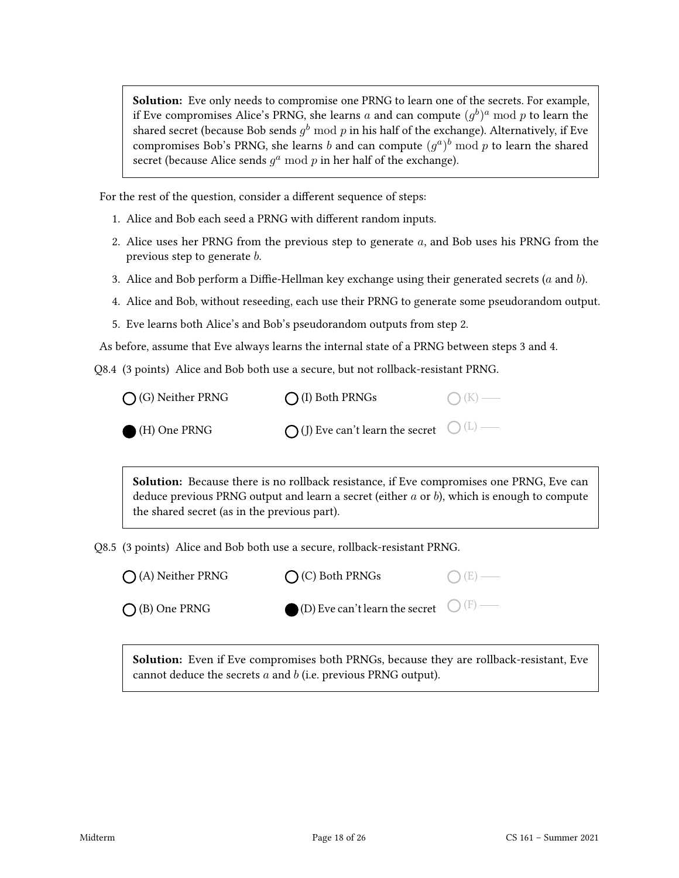Solution: Eve only needs to compromise one PRNG to learn one of the secrets. For example, if Eve compromises Alice's PRNG, she learns  $a$  and can compute  $(g^b)^a \bmod p$  to learn the shared secret (because Bob sends  $g^b \bmod p$  in his half of the exchange). Alternatively, if Eve compromises Bob's PRNG, she learns  $b$  and can compute  $(g^a)^b \bmod p$  to learn the shared secret (because Alice sends  $g^a \mod p$  in her half of the exchange).

For the rest of the question, consider a different sequence of steps:

- 1. Alice and Bob each seed a PRNG with different random inputs.
- 2. Alice uses her PRNG from the previous step to generate  $a$ , and Bob uses his PRNG from the previous step to generate b.
- 3. Alice and Bob perform a Diffie-Hellman key exchange using their generated secrets  $(a \text{ and } b)$ .
- 4. Alice and Bob, without reseeding, each use their PRNG to generate some pseudorandom output.
- 5. Eve learns both Alice's and Bob's pseudorandom outputs from step 2.

As before, assume that Eve always learns the internal state of a PRNG between steps 3 and 4.

Q8.4 (3 points) Alice and Bob both use a secure, but not rollback-resistant PRNG.

| $\bigcap$ (G) Neither PRNG | $\bigcap$ (I) Both PRNGs                                  | $\bigcap (K)$ — |
|----------------------------|-----------------------------------------------------------|-----------------|
| (H) One PRNG<br>Œ          | $\bigcap$ (J) Eve can't learn the secret $\bigcirc$ (L) — |                 |

Solution: Because there is no rollback resistance, if Eve compromises one PRNG, Eve can deduce previous PRNG output and learn a secret (either  $a$  or  $b$ ), which is enough to compute the shared secret (as in the previous part).

Q8.5 (3 points) Alice and Bob both use a secure, rollback-resistant PRNG.

|  | $\bigcap$ (B) One PRNG |
|--|------------------------|

 $\bigcap$  (A) Neither PRNG

 $\bigcap$  (C) Both PRNGs

 $\bigcap(E)$  —

Solution: Even if Eve compromises both PRNGs, because they are rollback-resistant, Eve cannot deduce the secrets  $a$  and  $b$  (i.e. previous PRNG output).

(D) Eve can't learn the secret  $\quad$   $\bigcirc$  <sup>(F)</sup>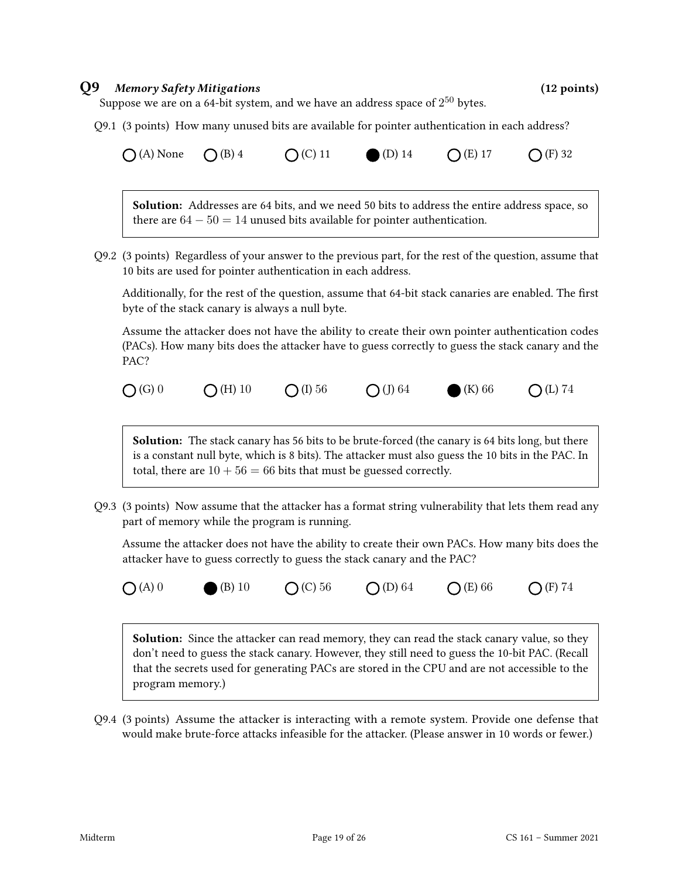### Q9 Memory Safety Mitigations (12 points)

Suppose we are on a 64-bit system, and we have an address space of  $2^{50}$  bytes.

Q9.1 (3 points) How many unused bits are available for pointer authentication in each address?

|         |                    | Q9.1 To points) Trow many unused bits are available for pointer authentication in each address: |                                                                                                                                                                                                                                                                                |                   |                  |                                                                                                                                                                                                     |
|---------|--------------------|-------------------------------------------------------------------------------------------------|--------------------------------------------------------------------------------------------------------------------------------------------------------------------------------------------------------------------------------------------------------------------------------|-------------------|------------------|-----------------------------------------------------------------------------------------------------------------------------------------------------------------------------------------------------|
|         | $\bigcap$ (A) None | $\bigcap$ (B) 4                                                                                 | $\bigcap$ (C) 11                                                                                                                                                                                                                                                               | $(D)$ 14          | $\bigcap$ (E) 17 | $(F)$ 32                                                                                                                                                                                            |
|         |                    |                                                                                                 | Solution: Addresses are 64 bits, and we need 50 bits to address the entire address space, so<br>there are $64 - 50 = 14$ unused bits available for pointer authentication.                                                                                                     |                   |                  |                                                                                                                                                                                                     |
|         |                    |                                                                                                 | 10 bits are used for pointer authentication in each address.                                                                                                                                                                                                                   |                   |                  | Q9.2 (3 points) Regardless of your answer to the previous part, for the rest of the question, assume that                                                                                           |
|         |                    |                                                                                                 | byte of the stack canary is always a null byte.                                                                                                                                                                                                                                |                   |                  | Additionally, for the rest of the question, assume that 64-bit stack canaries are enabled. The first                                                                                                |
| PAC?    |                    |                                                                                                 |                                                                                                                                                                                                                                                                                |                   |                  | Assume the attacker does not have the ability to create their own pointer authentication codes<br>(PACs). How many bits does the attacker have to guess correctly to guess the stack canary and the |
| O(G)0   |                    | $\bigcap$ (H) 10                                                                                | $\bigcap (I) 56$                                                                                                                                                                                                                                                               | $\bigcirc$ (J) 64 | $(K)$ 66         | $(L)$ 74                                                                                                                                                                                            |
|         |                    |                                                                                                 | Solution: The stack canary has 56 bits to be brute-forced (the canary is 64 bits long, but there<br>is a constant null byte, which is 8 bits). The attacker must also guess the 10 bits in the PAC. In<br>total, there are $10 + 56 = 66$ bits that must be guessed correctly. |                   |                  |                                                                                                                                                                                                     |
| Q9.3    |                    |                                                                                                 | part of memory while the program is running.                                                                                                                                                                                                                                   |                   |                  | (3 points) Now assume that the attacker has a format string vulnerability that lets them read any                                                                                                   |
|         |                    |                                                                                                 | attacker have to guess correctly to guess the stack canary and the PAC?                                                                                                                                                                                                        |                   |                  | Assume the attacker does not have the ability to create their own PACs. How many bits does the                                                                                                      |
| $(A)$ 0 |                    | $(B)$ 10                                                                                        | $(C)$ 56                                                                                                                                                                                                                                                                       | $(D)$ 64          | $(E)$ 66         | (F) 74                                                                                                                                                                                              |

Solution: Since the attacker can read memory, they can read the stack canary value, so they don't need to guess the stack canary. However, they still need to guess the 10-bit PAC. (Recall that the secrets used for generating PACs are stored in the CPU and are not accessible to the program memory.)

Q9.4 (3 points) Assume the attacker is interacting with a remote system. Provide one defense that would make brute-force attacks infeasible for the attacker. (Please answer in 10 words or fewer.)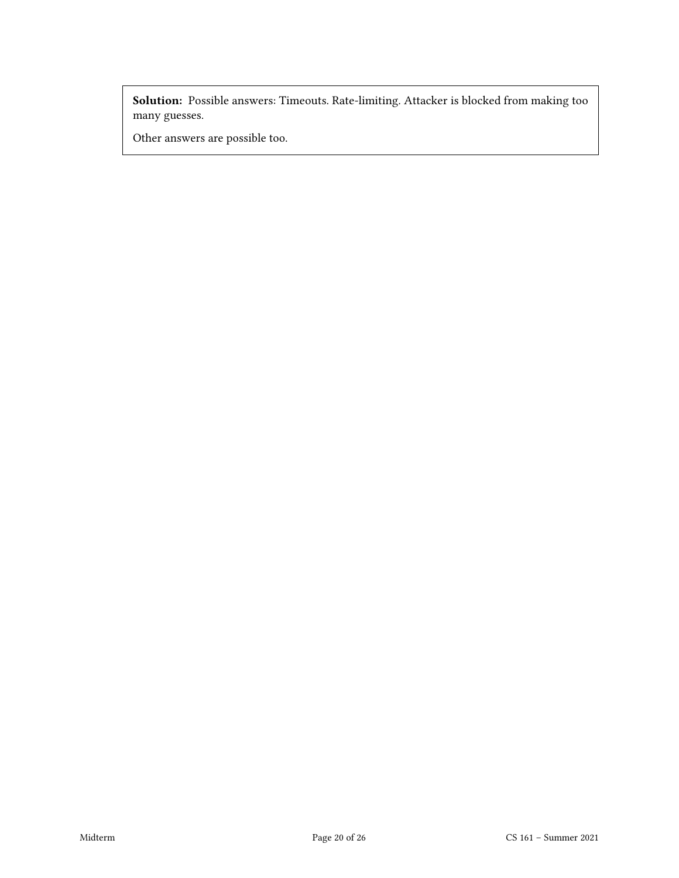Solution: Possible answers: Timeouts. Rate-limiting. Attacker is blocked from making too many guesses.

Other answers are possible too.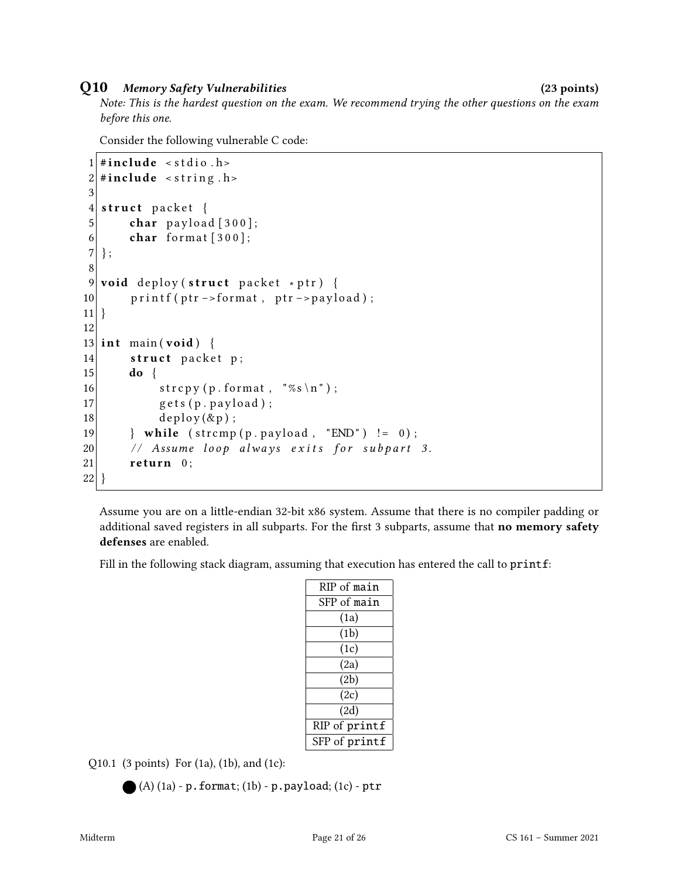### Q10 Memory Safety Vulnerabilities (23 points)

Note: This is the hardest question on the exam. We recommend trying the other questions on the exam before this one.

Consider the following vulnerable C code:

```
1 \#include < stdio . h>
2 \#include < string.h>
3
4 struct packet {
5 char payload [300];
6 char format [300];
7 };
8
9 void deploy (struct packet * ptr) {
10 printf (ptr ->format, ptr ->payload);
11}
12
13 int main (void) {
14 struct packet p;
15 do {
16 \vert strcpy (p. format, "%s\n");
17 gets (p. payload);
18 deploy(\& p);
19 \vert while (strcmp(p.payload, "END") != 0);
20 // Assume loop always exits for subpart 3.
21 return 0;
22 }
```
Assume you are on a little-endian 32-bit x86 system. Assume that there is no compiler padding or additional saved registers in all subparts. For the first 3 subparts, assume that no memory safety defenses are enabled.

Fill in the following stack diagram, assuming that execution has entered the call to printf:

| RIP of main   |
|---------------|
| SFP of main   |
| (1a)          |
| (1b)          |
| (1c)          |
| (2a)          |
| (2b)          |
| (2c)          |
| (2d)          |
| RIP of printf |
| SFP of printf |

Q10.1 (3 points) For (1a), (1b), and (1c):

 $(A)$  (1a) - p.format; (1b) - p.payload; (1c) - ptr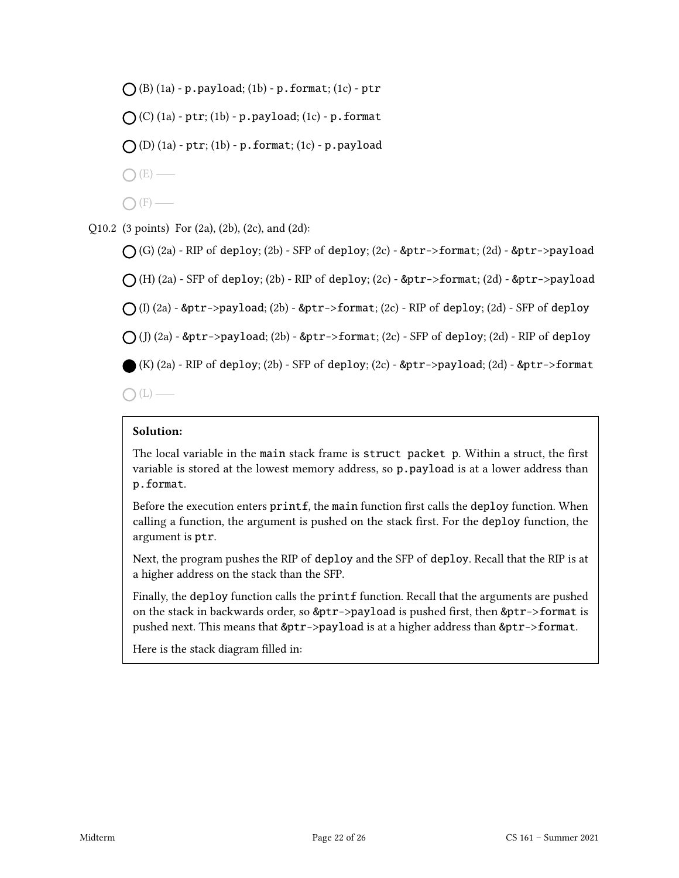$\bigcap$  (B) (1a) - p.payload; (1b) - p.format; (1c) - ptr  $\bigcap$  (C) (1a) - ptr; (1b) - p.payload; (1c) - p.format  $\bigcap$  (D) (1a) - ptr; (1b) - p. format; (1c) - p. payload  $O(E)$  —  $\bigcap$  (F) —

Q10.2 (3 points) For (2a), (2b), (2c), and (2d):

 $\bigcap$  (G) (2a) - RIP of deploy; (2b) - SFP of deploy; (2c) - &ptr->format; (2d) - &ptr->payload  $\bigcap$  (H) (2a) - SFP of deploy; (2b) - RIP of deploy; (2c) - &ptr->format; (2d) - &ptr->payload  $\bigcap$  (I) (2a) - &ptr->payload; (2b) - &ptr->format; (2c) - RIP of deploy; (2d) - SFP of deploy  $\bigcap$  (J) (2a) - &ptr->payload; (2b) - &ptr->format; (2c) - SFP of deploy; (2d) - RIP of deploy (K) (2a) - RIP of deploy; (2b) - SFP of deploy; (2c) -  $\&$ ptr->payload; (2d) -  $&$ ptr->format  $\bigcap(L)$  —

### Solution:

The local variable in the main stack frame is struct packet p. Within a struct, the first variable is stored at the lowest memory address, so p.payload is at a lower address than p.format.

Before the execution enters printf, the main function first calls the deploy function. When calling a function, the argument is pushed on the stack first. For the deploy function, the argument is ptr.

Next, the program pushes the RIP of deploy and the SFP of deploy. Recall that the RIP is at a higher address on the stack than the SFP.

Finally, the deploy function calls the printf function. Recall that the arguments are pushed on the stack in backwards order, so  $&ptr->payload$  is pushed first, then  $&ptr->format$  is pushed next. This means that &ptr->payload is at a higher address than &ptr->format.

Here is the stack diagram filled in: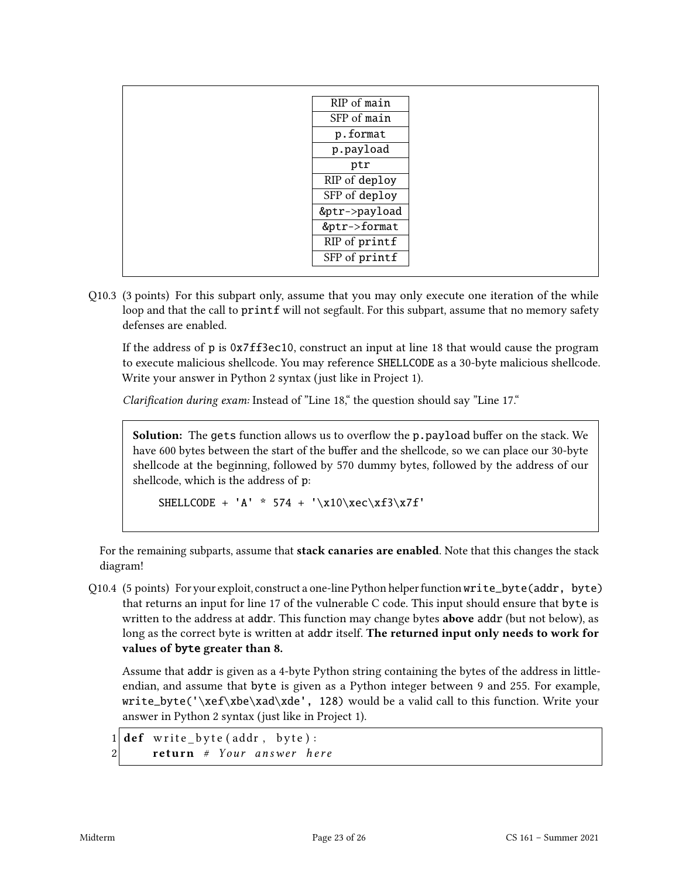| RIP of main   |  |
|---------------|--|
| SFP of main   |  |
| p.format      |  |
| p.payload     |  |
| ptr           |  |
| RIP of deploy |  |
| SFP of deploy |  |
| &ptr->payload |  |
| &ptr->format  |  |
| RIP of printf |  |
| SFP of printf |  |
|               |  |

Q10.3 (3 points) For this subpart only, assume that you may only execute one iteration of the while loop and that the call to printf will not segfault. For this subpart, assume that no memory safety defenses are enabled.

If the address of p is 0x7ff3ec10, construct an input at line 18 that would cause the program to execute malicious shellcode. You may reference SHELLCODE as a 30-byte malicious shellcode. Write your answer in Python 2 syntax (just like in Project 1).

Clarification during exam: Instead of "Line  $18$ ," the question should say "Line  $17$ ."

Solution: The gets function allows us to overflow the p.payload buffer on the stack. We have 600 bytes between the start of the buffer and the shellcode, so we can place our 30-byte shellcode at the beginning, followed by 570 dummy bytes, followed by the address of our shellcode, which is the address of p:

SHELLCODE + 'A' \* 574 + '\x10\xec\xf3\x7f'

For the remaining subparts, assume that **stack canaries are enabled**. Note that this changes the stack diagram!

Q10.4 (5 points) For your exploit, construct a one-line Python helper function write\_byte(addr, byte) that returns an input for line 17 of the vulnerable C code. This input should ensure that byte is written to the address at addr. This function may change bytes above addr (but not below), as long as the correct byte is written at addr itself. The returned input only needs to work for values of byte greater than 8.

Assume that addr is given as a 4-byte Python string containing the bytes of the address in littleendian, and assume that byte is given as a Python integer between 9 and 255. For example, write\_byte('\xef\xbe\xad\xde', 128) would be a valid call to this function. Write your answer in Python 2 syntax (just like in Project 1).

```
1 def write byte (addr, byte):
2 return # Your answer here
```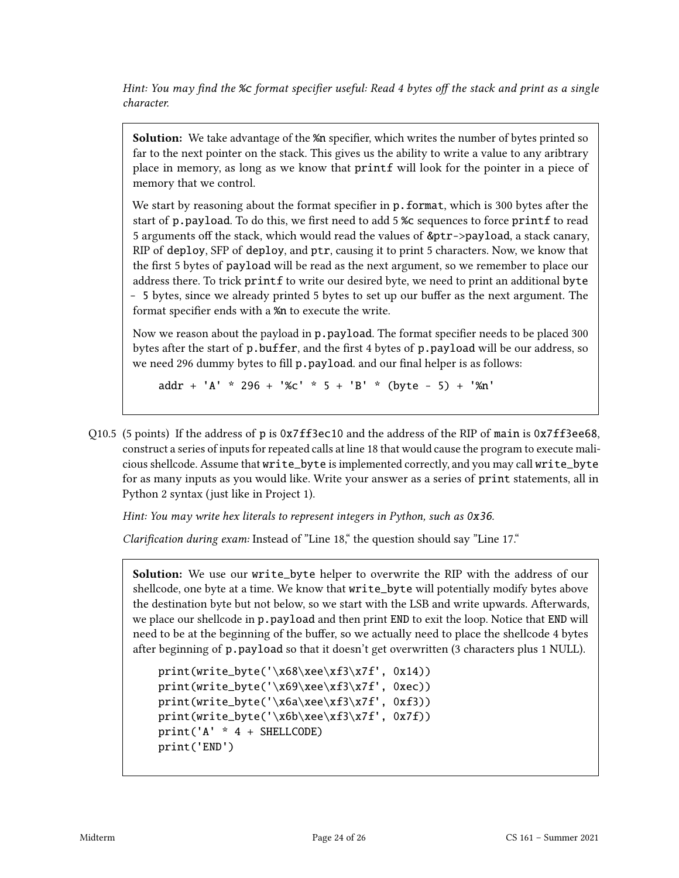Hint: You may find the %c format specifier useful: Read 4 bytes off the stack and print as a single character.

Solution: We take advantage of the %n specifier, which writes the number of bytes printed so far to the next pointer on the stack. This gives us the ability to write a value to any aribtrary place in memory, as long as we know that printf will look for the pointer in a piece of memory that we control.

We start by reasoning about the format specifier in  $p$ . format, which is 300 bytes after the start of p.payload. To do this, we first need to add 5 % sequences to force printf to read 5 arguments off the stack, which would read the values of &ptr->payload, a stack canary, RIP of deploy, SFP of deploy, and ptr, causing it to print 5 characters. Now, we know that the first 5 bytes of payload will be read as the next argument, so we remember to place our address there. To trick printf to write our desired byte, we need to print an additional byte - 5 bytes, since we already printed 5 bytes to set up our buffer as the next argument. The format specifier ends with a %n to execute the write.

Now we reason about the payload in p. payload. The format specifier needs to be placed 300 bytes after the start of  $p$ . buffer, and the first 4 bytes of  $p$ .  $payload$  will be our address, so we need 296 dummy bytes to fill p.payload. and our final helper is as follows:

 $addr + 'A' * 296 + '%c' * 5 + 'B' * (byte - 5) + '%n'$ 

Q10.5 (5 points) If the address of p is 0x7ff3ec10 and the address of the RIP of main is 0x7ff3ee68, construct a series of inputs for repeated calls at line 18 that would cause the program to execute malicious shellcode. Assume that write\_byte is implemented correctly, and you may call write\_byte for as many inputs as you would like. Write your answer as a series of print statements, all in Python 2 syntax (just like in Project 1).

Hint: You may write hex literals to represent integers in Python, such as 0x36.

Clarification during exam: Instead of "Line 18," the question should say "Line 17."

Solution: We use our write\_byte helper to overwrite the RIP with the address of our shellcode, one byte at a time. We know that write\_byte will potentially modify bytes above the destination byte but not below, so we start with the LSB and write upwards. Afterwards, we place our shellcode in p.payload and then print END to exit the loop. Notice that END will need to be at the beginning of the buffer, so we actually need to place the shellcode 4 bytes after beginning of p.payload so that it doesn't get overwritten (3 characters plus 1 NULL).

```
print(write_byte('\x68\xee\xf3\x7f', 0x14))
print(write_byte('\x69\xee\xf3\x7f', 0xec))
print(write_byte('\x6a\xee\xf3\x7f', 0xf3))
print(write_byte('\x6b\xee\xf3\x7f', 0x7f))
print('A' * 4 + SHELLCODE)
print('END')
```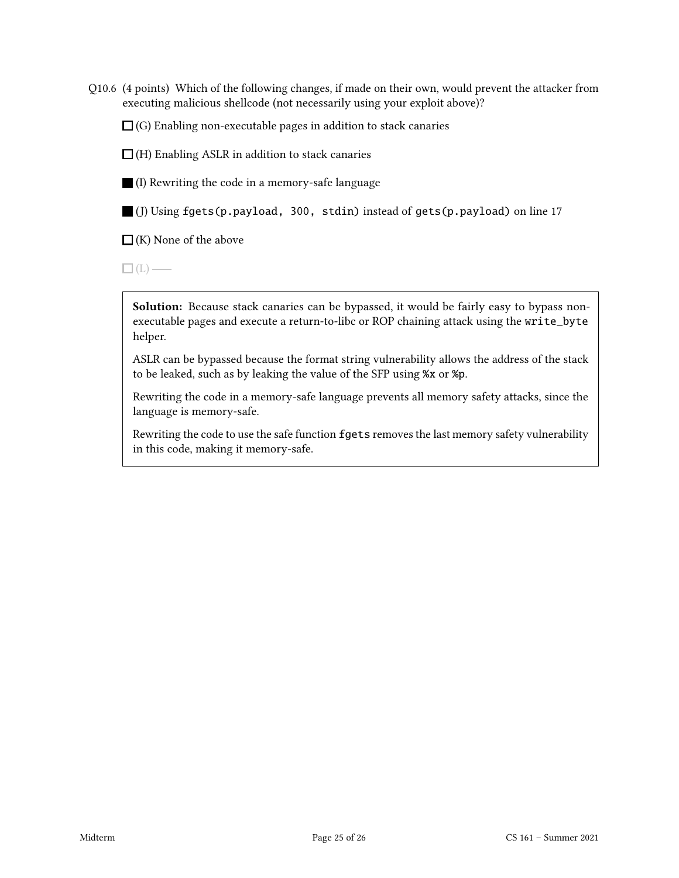Q10.6 (4 points) Which of the following changes, if made on their own, would prevent the attacker from executing malicious shellcode (not necessarily using your exploit above)?

 $\Box$  (G) Enabling non-executable pages in addition to stack canaries

 $\Box$  (H) Enabling ASLR in addition to stack canaries

(I) Rewriting the code in a memory-safe language

(J) Using fgets(p.payload, 300, stdin) instead of gets(p.payload) on line 17

 $\Box$  (K) None of the above

 $\Box$ (L) —

Solution: Because stack canaries can be bypassed, it would be fairly easy to bypass nonexecutable pages and execute a return-to-libc or ROP chaining attack using the write\_byte helper.

ASLR can be bypassed because the format string vulnerability allows the address of the stack to be leaked, such as by leaking the value of the SFP using %x or %p.

Rewriting the code in a memory-safe language prevents all memory safety attacks, since the language is memory-safe.

Rewriting the code to use the safe function fgets removes the last memory safety vulnerability in this code, making it memory-safe.